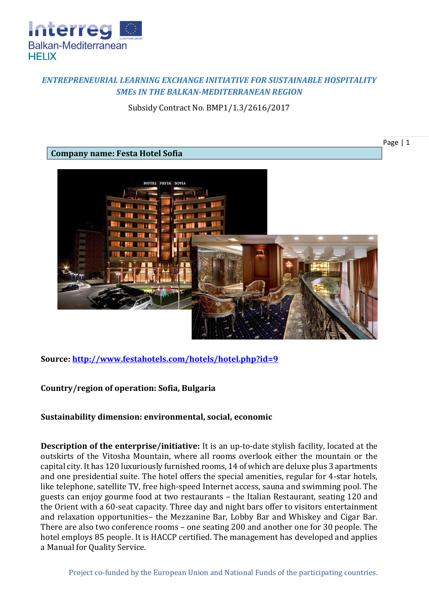

# *ENTREPRENEURIAL LEARNING EXCHANGE INITIATIVE FOR SUSTAINABLE HOSPITALITY SMEs IN THE BALKAN-MEDITERRANEAN REGION*

Subsidy Contract No. BMP1/1.3/2616/2017

Page | 1

### **Company name: Festa Hotel Sofia**



**Source:<http://www.festahotels.com/hotels/hotel.php?id=9>**

### **Country/region of operation: Sofia, Bulgaria**

#### **Sustainability dimension: environmental, social, economic**

**Description of the enterprise/initiative:** It is an up-to-date stylish facility, located at the outskirts of the Vitosha Mountain, where all rooms overlook either the mountain or the capital city. It has 120 luxuriously furnished rooms, 14 of which are deluxe plus 3 apartments and one presidential suite. The hotel offers the special amenities, regular for 4-star hotels, like telephone, satellite TV, free high-speed Internet access, sauna and swimming pool. The guests can enjoy gourme food at two restaurants – the Italian Restaurant, seating 120 and the Orient with a 60-seat capacity. Three day and night bars offer to visitors entertainment and relaxation opportunities– the Mezzanine Bar, Lobby Bar and Whiskey and Cigar Bar. There are also two conference rooms – one seating 200 and another one for 30 people. The hotel employs 85 people. It is HACCP certified. The management has developed and applies a Manual for Quality Service.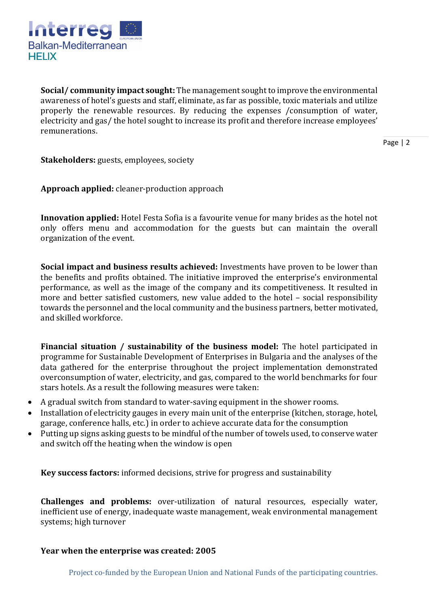

**Social/ community impact sought:** The management sought to improve the environmental awareness of hotel's guests and staff, eliminate, as far as possible, toxic materials and utilize properly the renewable resources. By reducing the expenses /consumption of water, electricity and gas/ the hotel sought to increase its profit and therefore increase employees' remunerations.

Page | 2

**Stakeholders:** guests, employees, society

**Approach applied:** cleaner-production approach

**Innovation applied:** Hotel Festa Sofia is a favourite venue for many brides as the hotel not only offers menu and accommodation for the guests but can maintain the overall organization of the event.

**Social impact and business results achieved:** Investments have proven to be lower than the benefits and profits obtained. The initiative improved the enterprise's environmental performance, as well as the image of the company and its competitiveness. It resulted in more and better satisfied customers, new value added to the hotel – social responsibility towards the personnel and the local community and the business partners, better motivated, and skilled workforce.

**Financial situation / sustainability of the business model:** The hotel participated in programme for Sustainable Development of Enterprises in Bulgaria and the analyses of the data gathered for the enterprise throughout the project implementation demonstrated overconsumption of water, electricity, and gas, compared to the world benchmarks for four stars hotels. As a result the following measures were taken:

- A gradual switch from standard to water-saving equipment in the shower rooms.
- Installation of electricity gauges in every main unit of the enterprise (kitchen, storage, hotel, garage, conference halls, etc.) in order to achieve accurate data for the consumption
- Putting up signs asking guests to be mindful of the number of towels used, to conserve water and switch off the heating when the window is open

**Key success factors:** informed decisions, strive for progress and sustainability

**Challenges and problems:** over-utilization of natural resources, especially water, inefficient use of energy, inadequate waste management, weak environmental management systems; high turnover

#### **Year when the enterprise was created: 2005**